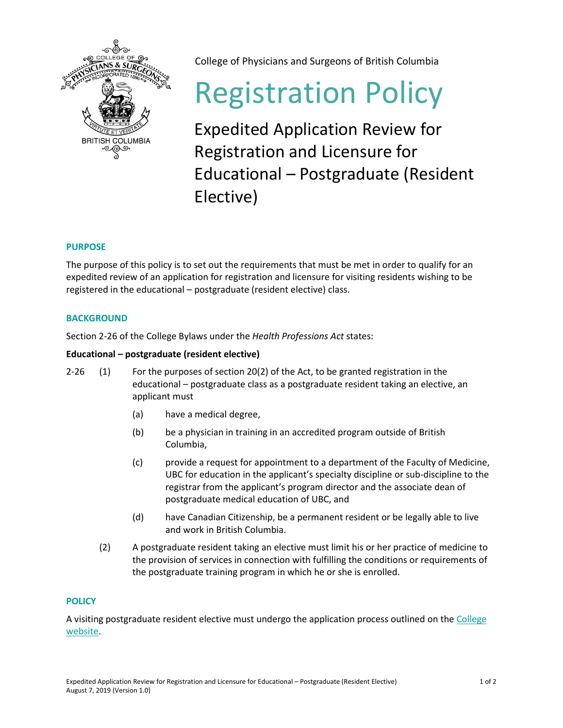

College of Physicians and Surgeons of British Columbia

# Registration Policy

Expedited Application Review for Registration and Licensure for Educational – Postgraduate (Resident Elective)

# **PURPOSE**

The purpose of this policy is to set out the requirements that must be met in order to qualify for an expedited review of an application for registration and licensure for visiting residents wishing to be registered in the educational – postgraduate (resident elective) class.

# **BACKGROUND**

Section 2-26 of the College Bylaws under the *Health Professions Act* states:

### **Educational – postgraduate (resident elective)**

- 2-26 (1) For the purposes of section 20(2) of the Act, to be granted registration in the educational – postgraduate class as a postgraduate resident taking an elective, an applicant must
	- (a) have a medical degree,
	- (b) be a physician in training in an accredited program outside of British Columbia,
	- (c) provide a request for appointment to a department of the Faculty of Medicine, UBC for education in the applicant's specialty discipline or sub-discipline to the registrar from the applicant's program director and the associate dean of postgraduate medical education of UBC, and
	- (d) have Canadian Citizenship, be a permanent resident or be legally able to live and work in British Columbia.
	- (2) A postgraduate resident taking an elective must limit his or her practice of medicine to the provision of services in connection with fulfilling the conditions or requirements of the postgraduate training program in which he or she is enrolled.

# **POLICY**

A visiting postgraduate resident elective must undergo the application process outlined on th[e College](https://www.cpsbc.ca/for-physicians/registration-licensing/applying/postgraduate/resident-elective)  [website.](https://www.cpsbc.ca/for-physicians/registration-licensing/applying/postgraduate/resident-elective)